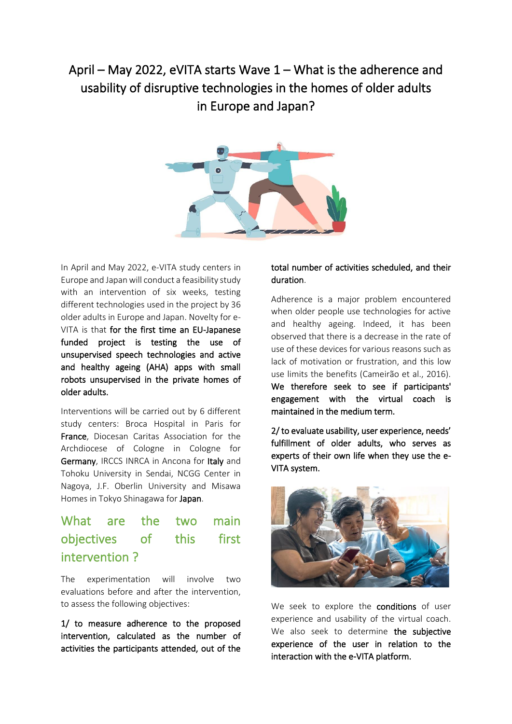# April – May 2022, eVITA starts Wave 1 – What is the adherence and usability of disruptive technologies in the homes of older adults in Europe and Japan?



In April and May 2022, e-VITA study centers in Europe and Japan will conduct a feasibility study with an intervention of six weeks, testing different technologies used in the project by 36 older adults in Europe and Japan. Novelty for e-VITA is that for the first time an EU-Japanese funded project is testing the use of unsupervised speech technologies and active and healthy ageing (AHA) apps with small robots unsupervised in the private homes of older adults.

Interventions will be carried out by 6 different study centers: Broca Hospital in Paris for France, Diocesan Caritas Association for the Archdiocese of Cologne in Cologne for Germany, IRCCS INRCA in Ancona for Italy and Tohoku University in Sendai, NCGG Center in Nagoya, J.F. Oberlin University and Misawa Homes in Tokyo Shinagawa for Japan.

## What are the two main objectives of this first intervention ?

The experimentation will involve two evaluations before and after the intervention, to assess the following objectives:

1/ to measure adherence to the proposed intervention, calculated as the number of activities the participants attended, out of the

#### total number of activities scheduled, and their duration.

Adherence is a major problem encountered when older people use technologies for active and healthy ageing. Indeed, it has been observed that there is a decrease in the rate of use of these devices for various reasons such as lack of motivation or frustration, and this low use limits the benefits (Cameirão et al., 2016). We therefore seek to see if participants' engagement with the virtual coach is maintained in the medium term.

2/ to evaluate usability, user experience, needs' fulfillment of older adults, who serves as experts of their own life when they use the e-VITA system.



We seek to explore the conditions of user experience and usability of the virtual coach. We also seek to determine the subiective experience of the user in relation to the interaction with the e-VITA platform.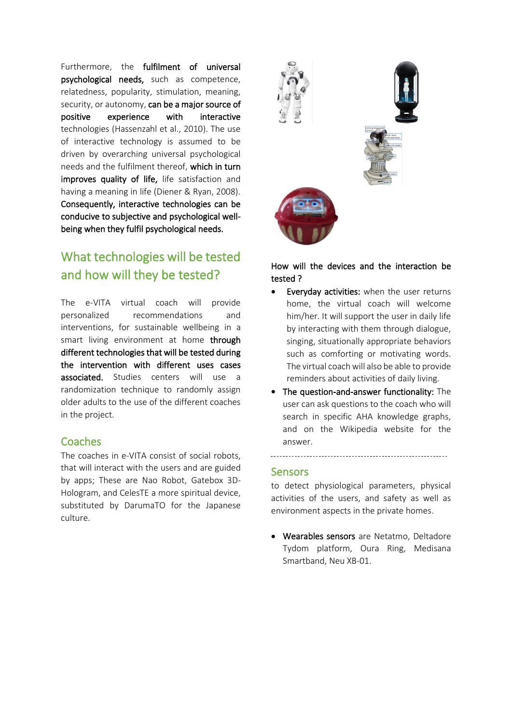Furthermore, the fulfilment of universal psychological needs, such as competence, relatedness, popularity, stimulation, meaning, security, or autonomy, can be a major source of positive experience with interactive technologies (Hassenzahl et al., 2010). The use of interactive technology is assumed to be driven by overarching universal psychological needs and the fulfilment thereof, which in turn improves quality of life, life satisfaction and having a meaning in life (Diener & Ryan, 2008). Consequently, interactive technologies can be conducive to subjective and psychological wellbeing when they fulfil psychological needs.

## What technologies will be tested and how will they be tested?

The e-VITA virtual coach will provide personalized recommendations and interventions, for sustainable wellbeing in a smart living environment at home through different technologies that will be tested during the intervention with different uses cases associated. Studies centers will use a randomization technique to randomly assign older adults to the use of the different coaches in the project.

#### Coaches

The coaches in e-VITA consist of social robots, that will interact with the users and are guided by apps; These are Nao Robot, Gatebox 3D-Hologram, and CelesTE a more spiritual device, substituted by DarumaTO for the Japanese culture.



#### How will the devices and the interaction be tested ?

- Everyday activities: when the user returns home, the virtual coach will welcome him/her. It will support the user in daily life by interacting with them through dialogue, singing, situationally appropriate behaviors such as comforting or motivating words. The virtual coach will also be able to provide reminders about activities of daily living.
- The question-and-answer functionality: The user can ask questions to the coach who will search in specific AHA knowledge graphs, and on the Wikipedia website for the answer.

#### **Sensors**

to detect physiological parameters, physical activities of the users, and safety as well as environment aspects in the private homes.

• Wearables sensors are Netatmo, Deltadore Tydom platform, Oura Ring, Medisana Smartband, Neu XB-01.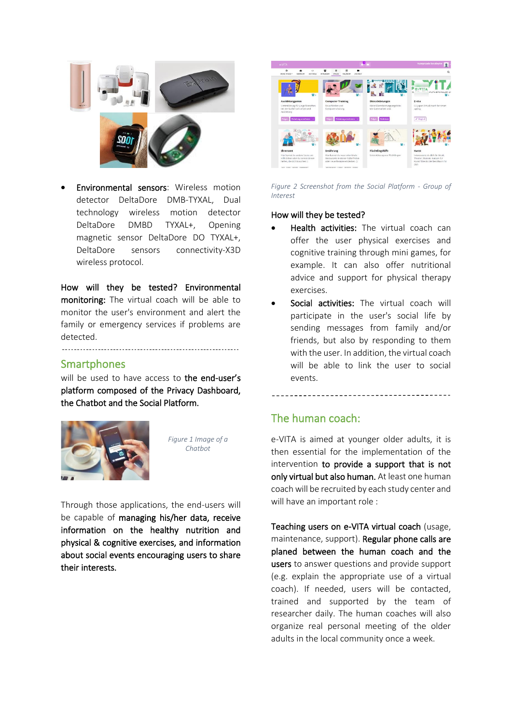

• Environmental sensors: Wireless motion detector DeltaDore DMB-TYXAL, Dual technology wireless motion detector DeltaDore DMBD TYXAL+, Opening magnetic sensor DeltaDore DO TYXAL+, DeltaDore sensors connectivity‐X3D wireless protocol.

How will they be tested? Environmental monitoring: The virtual coach will be able to monitor the user's environment and alert the family or emergency services if problems are detected.

#### **Smartphones**

will be used to have access to the end-user's platform composed of the Privacy Dashboard, the Chatbot and the Social Platform.



*Figure 1 Image of a Chatbot*

Through those applications, the end-users will be capable of managing his/her data, receive information on the healthy nutrition and physical & cognitive exercises, and information about social events encouraging users to share their interests.



*Figure 2 Screenshot from the Social Platform - Group of Interest*

#### How will they be tested?

- Health activities: The virtual coach can offer the user physical exercises and cognitive training through mini games, for example. It can also offer nutritional advice and support for physical therapy exercises.
- Social activities: The virtual coach will participate in the user's social life by sending messages from family and/or friends, but also by responding to them with the user. In addition, the virtual coach will be able to link the user to social events.

### The human coach:

e-VITA is aimed at younger older adults, it is then essential for the implementation of the intervention to provide a support that is not only virtual but also human. At least one human coach will be recruited by each study center and will have an important role :

Teaching users on e-VITA virtual coach (usage, maintenance, support). Regular phone calls are planed between the human coach and the users to answer questions and provide support (e.g. explain the appropriate use of a virtual coach). If needed, users will be contacted, trained and supported by the team of researcher daily. The human coaches will also organize real personal meeting of the older adults in the local community once a week.